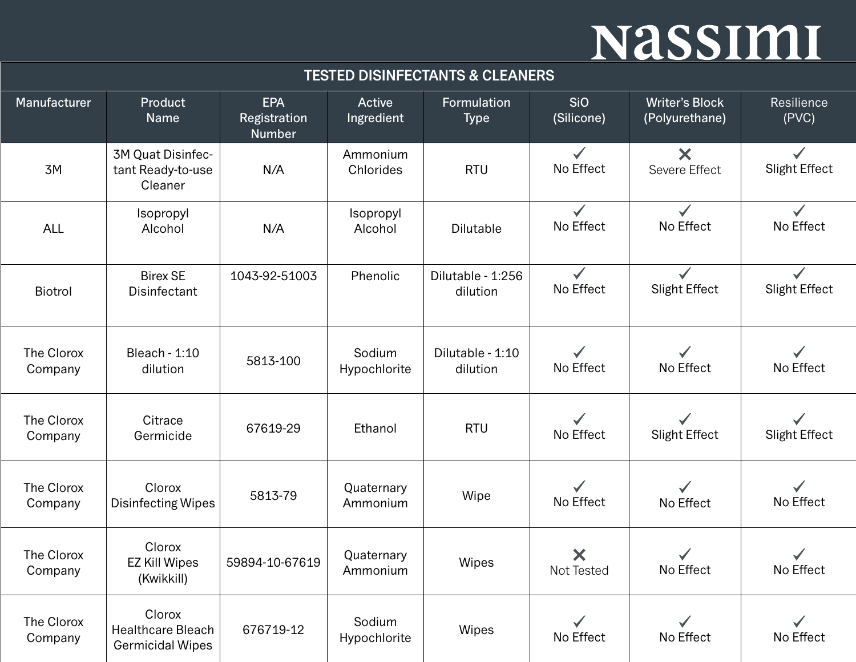| Manufacturer          | Product<br>Name                                               | <b>EPA</b><br>Registration<br><b>Number</b> | <b>Active</b><br>Ingredient | Formulation<br><b>Type</b>    | <b>SiO</b><br>(Silicone)                | <b>Writer's Block</b><br>(Polyurethane)    | Resilience<br>(PVC)                  |
|-----------------------|---------------------------------------------------------------|---------------------------------------------|-----------------------------|-------------------------------|-----------------------------------------|--------------------------------------------|--------------------------------------|
| 3M                    | 3M Quat Disinfec-<br>tant Ready-to-use<br>Cleaner             | N/A                                         | Ammonium<br>Chlorides       | <b>RTU</b>                    | $\checkmark$<br>No Effect               | $\boldsymbol{\mathsf{X}}$<br>Severe Effect | $\checkmark$<br>Slight Effect        |
| <b>ALL</b>            | Isopropyl<br>Alcohol                                          | N/A                                         | Isopropyl<br>Alcohol        | <b>Dilutable</b>              | $\checkmark$<br>No Effect               | $\checkmark$<br>No Effect                  | $\checkmark$<br>No Effect            |
| Biotrol               | <b>Birex SE</b><br>Disinfectant                               | 1043-92-51003                               | Phenolic                    | Dilutable - 1:256<br>dilution | $\checkmark$<br>No Effect               | <b>Slight Effect</b>                       | <b>Slight Effect</b>                 |
| The Clorox<br>Company | <b>Bleach - 1:10</b><br>dilution                              | 5813-100                                    | Sodium<br>Hypochlorite      | Dilutable - 1:10<br>dilution  | $\checkmark$<br>No Effect               | No Effect                                  | No Effect                            |
| The Clorox<br>Company | Citrace<br>Germicide                                          | 67619-29                                    | Ethanol                     | <b>RTU</b>                    | $\checkmark$<br>No Effect               | $\checkmark$<br><b>Slight Effect</b>       | $\checkmark$<br><b>Slight Effect</b> |
| The Clorox<br>Company | Clorox<br><b>Disinfecting Wipes</b>                           | 5813-79                                     | Quaternary<br>Ammonium      | Wipe                          | $\checkmark$<br>No Effect               | $\checkmark$<br>No Effect                  | No Effect                            |
| The Clorox<br>Company | Clorox<br><b>EZ Kill Wipes</b><br>(Kwikkill)                  | 59894-10-67619                              | Quaternary<br>Ammonium      | Wipes                         | $\boldsymbol{\mathsf{x}}$<br>Not Tested | No Effect                                  | No Effect                            |
| The Clorox<br>Company | Clorox<br><b>Healthcare Bleach</b><br><b>Germicidal Wipes</b> | 676719-12                                   | Sodium<br>Hypochlorite      | Wipes                         | No Effect                               | No Effect                                  | No Effect                            |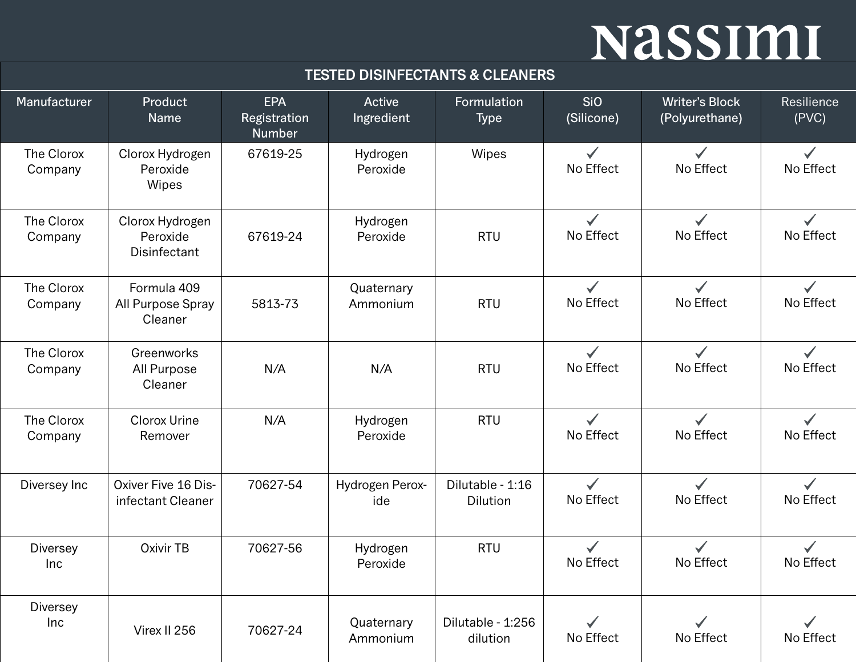| Manufacturer           | Product<br>Name                             | <b>EPA</b><br>Registration<br><b>Number</b> | Active<br>Ingredient   | Formulation<br><b>Type</b>    | <b>SiO</b><br>(Silicone)  | <b>Writer's Block</b><br>(Polyurethane) | Resilience<br>(PVC)       |
|------------------------|---------------------------------------------|---------------------------------------------|------------------------|-------------------------------|---------------------------|-----------------------------------------|---------------------------|
| The Clorox<br>Company  | Clorox Hydrogen<br>Peroxide<br>Wipes        | 67619-25                                    | Hydrogen<br>Peroxide   | Wipes                         | $\checkmark$<br>No Effect | $\checkmark$<br>No Effect               | $\checkmark$<br>No Effect |
| The Clorox<br>Company  | Clorox Hydrogen<br>Peroxide<br>Disinfectant | 67619-24                                    | Hydrogen<br>Peroxide   | <b>RTU</b>                    | $\checkmark$<br>No Effect | $\checkmark$<br>No Effect               | No Effect                 |
| The Clorox<br>Company  | Formula 409<br>All Purpose Spray<br>Cleaner | 5813-73                                     | Quaternary<br>Ammonium | <b>RTU</b>                    | No Effect                 | No Effect                               | No Effect                 |
| The Clorox<br>Company  | Greenworks<br>All Purpose<br>Cleaner        | N/A                                         | N/A                    | <b>RTU</b>                    | $\checkmark$<br>No Effect | $\checkmark$<br>No Effect               | $\checkmark$<br>No Effect |
| The Clorox<br>Company  | Clorox Urine<br>Remover                     | N/A                                         | Hydrogen<br>Peroxide   | <b>RTU</b>                    | $\checkmark$<br>No Effect | $\checkmark$<br>No Effect               | $\checkmark$<br>No Effect |
| Diversey Inc           | Oxiver Five 16 Dis-<br>infectant Cleaner    | 70627-54                                    | Hydrogen Perox-<br>ide | Dilutable - 1:16<br>Dilution  | $\checkmark$<br>No Effect | $\checkmark$<br>No Effect               | $\checkmark$<br>No Effect |
| <b>Diversey</b><br>Inc | Oxivir TB                                   | 70627-56                                    | Hydrogen<br>Peroxide   | <b>RTU</b>                    | No Effect                 | No Effect                               | No Effect                 |
| <b>Diversey</b><br>Inc | Virex II 256                                | 70627-24                                    | Quaternary<br>Ammonium | Dilutable - 1:256<br>dilution | No Effect                 | No Effect                               | No Effect                 |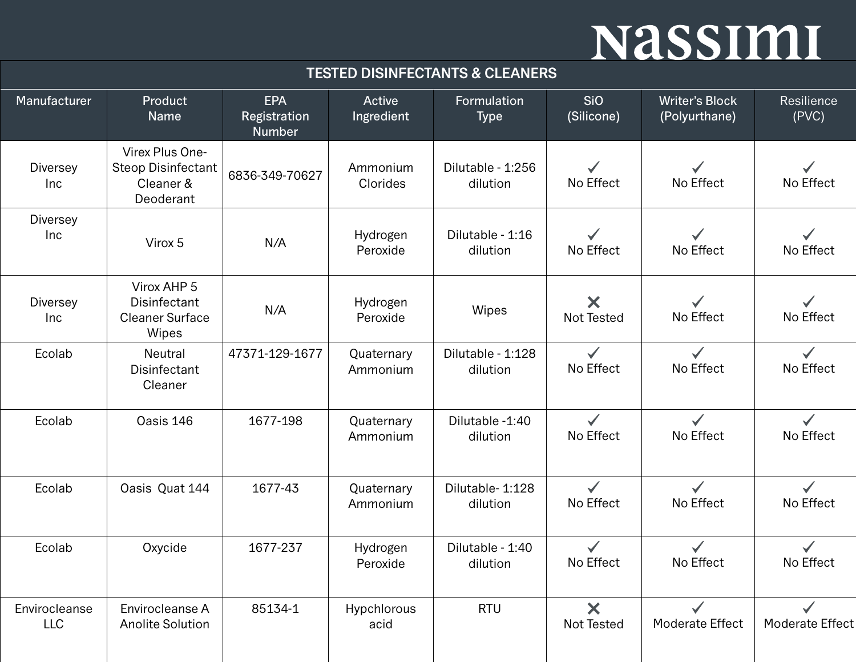| Manufacturer                | Product<br>Name                                                        | <b>EPA</b><br>Registration<br><b>Number</b> | <b>Active</b><br>Ingredient | Formulation<br><b>Type</b>    | <b>SiO</b><br>(Silicone)  | <b>Writer's Block</b><br>(Polyurthane) | Resilience<br>(PVC)       |
|-----------------------------|------------------------------------------------------------------------|---------------------------------------------|-----------------------------|-------------------------------|---------------------------|----------------------------------------|---------------------------|
| <b>Diversey</b><br>Inc      | Virex Plus One-<br><b>Steop Disinfectant</b><br>Cleaner &<br>Deoderant | 6836-349-70627                              | Ammonium<br>Clorides        | Dilutable - 1:256<br>dilution | No Effect                 | No Effect                              | $\checkmark$<br>No Effect |
| <b>Diversey</b><br>Inc      | Virox 5                                                                | N/A                                         | Hydrogen<br>Peroxide        | Dilutable - 1:16<br>dilution  | No Effect                 | No Effect                              | No Effect                 |
| <b>Diversey</b><br>Inc      | Virox AHP 5<br>Disinfectant<br><b>Cleaner Surface</b><br>Wipes         | N/A                                         | Hydrogen<br>Peroxide        | Wipes                         | X<br><b>Not Tested</b>    | No Effect                              | $\checkmark$<br>No Effect |
| Ecolab                      | Neutral<br>Disinfectant<br>Cleaner                                     | 47371-129-1677                              | Quaternary<br>Ammonium      | Dilutable - 1:128<br>dilution | $\checkmark$<br>No Effect | $\checkmark$<br>No Effect              | $\checkmark$<br>No Effect |
| Ecolab                      | Oasis 146                                                              | 1677-198                                    | Quaternary<br>Ammonium      | Dilutable -1:40<br>dilution   | $\checkmark$<br>No Effect | $\checkmark$<br>No Effect              | $\checkmark$<br>No Effect |
| Ecolab                      | Oasis Quat 144                                                         | 1677-43                                     | Quaternary<br>Ammonium      | Dilutable- 1:128<br>dilution  | $\checkmark$<br>No Effect | $\checkmark$<br>No Effect              | $\checkmark$<br>No Effect |
| Ecolab                      | Oxycide                                                                | 1677-237                                    | Hydrogen<br>Peroxide        | Dilutable - 1:40<br>dilution  | $\checkmark$<br>No Effect | $\checkmark$<br>No Effect              | $\checkmark$<br>No Effect |
| Envirocleanse<br><b>LLC</b> | Envirocleanse A<br><b>Anolite Solution</b>                             | 85134-1                                     | Hypchlorous<br>acid         | <b>RTU</b>                    | ×<br>Not Tested           | Moderate Effect                        | Moderate Effect           |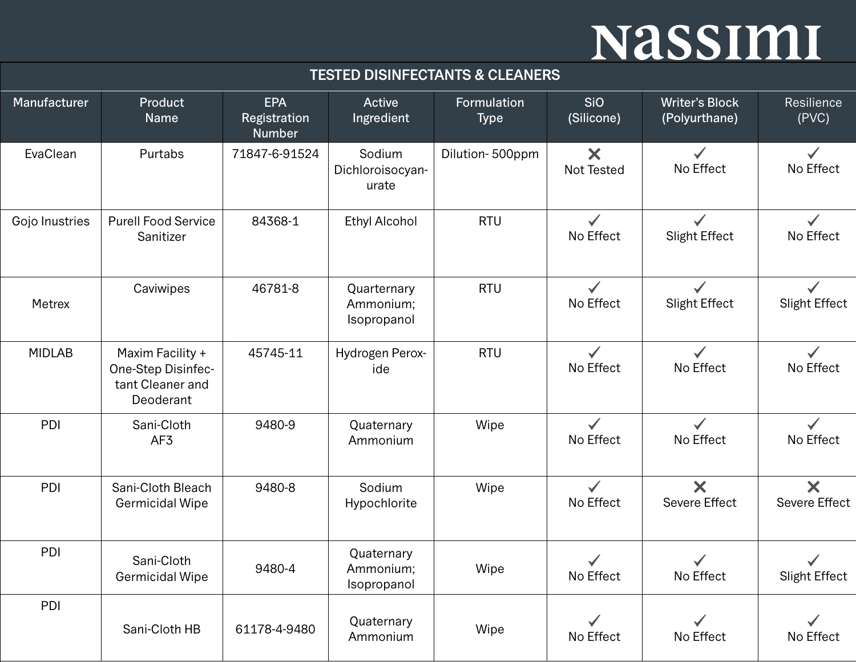| Manufacturer   | Product<br>Name                                                         | <b>EPA</b><br>Registration<br><b>Number</b> | Active<br>Ingredient                    | Formulation<br><b>Type</b> | <b>SiO</b><br>(Silicone)  | <b>Writer's Block</b><br>(Polyurthane) | Resilience<br>(PVC)                               |
|----------------|-------------------------------------------------------------------------|---------------------------------------------|-----------------------------------------|----------------------------|---------------------------|----------------------------------------|---------------------------------------------------|
| EvaClean       | Purtabs                                                                 | 71847-6-91524                               | Sodium<br>Dichloroisocyan-<br>urate     | Dilution-500ppm            | ×<br>Not Tested           | $\checkmark$<br>No Effect              | $\checkmark$<br>No Effect                         |
| Gojo Inustries | <b>Purell Food Service</b><br>Sanitizer                                 | 84368-1                                     | <b>Ethyl Alcohol</b>                    | <b>RTU</b>                 | $\checkmark$<br>No Effect | $\checkmark$<br><b>Slight Effect</b>   | $\checkmark$<br>No Effect                         |
| Metrex         | Caviwipes                                                               | 46781-8                                     | Quarternary<br>Ammonium;<br>Isopropanol | <b>RTU</b>                 | $\checkmark$<br>No Effect | <b>Slight Effect</b>                   | $\checkmark$<br>Slight Effect                     |
| <b>MIDLAB</b>  | Maxim Facility +<br>One-Step Disinfec-<br>tant Cleaner and<br>Deoderant | 45745-11                                    | Hydrogen Perox-<br>ide                  | <b>RTU</b>                 | No Effect                 | No Effect                              | No Effect                                         |
| PDI            | Sani-Cloth<br>AF3                                                       | 9480-9                                      | Quaternary<br>Ammonium                  | Wipe                       | $\checkmark$<br>No Effect | $\checkmark$<br>No Effect              | $\checkmark$<br>No Effect                         |
| PDI            | Sani-Cloth Bleach<br>Germicidal Wipe                                    | 9480-8                                      | Sodium<br>Hypochlorite                  | Wipe                       | $\checkmark$<br>No Effect | ×<br><b>Severe Effect</b>              | $\boldsymbol{\mathsf{X}}$<br><b>Severe Effect</b> |
| PDI            | Sani-Cloth<br>Germicidal Wipe                                           | 9480-4                                      | Quaternary<br>Ammonium;<br>Isopropanol  | Wipe                       | $\checkmark$<br>No Effect | No Effect                              | Slight Effect                                     |
| PDI            | Sani-Cloth HB                                                           | 61178-4-9480                                | Quaternary<br>Ammonium                  | Wipe                       | No Effect                 | No Effect                              | No Effect                                         |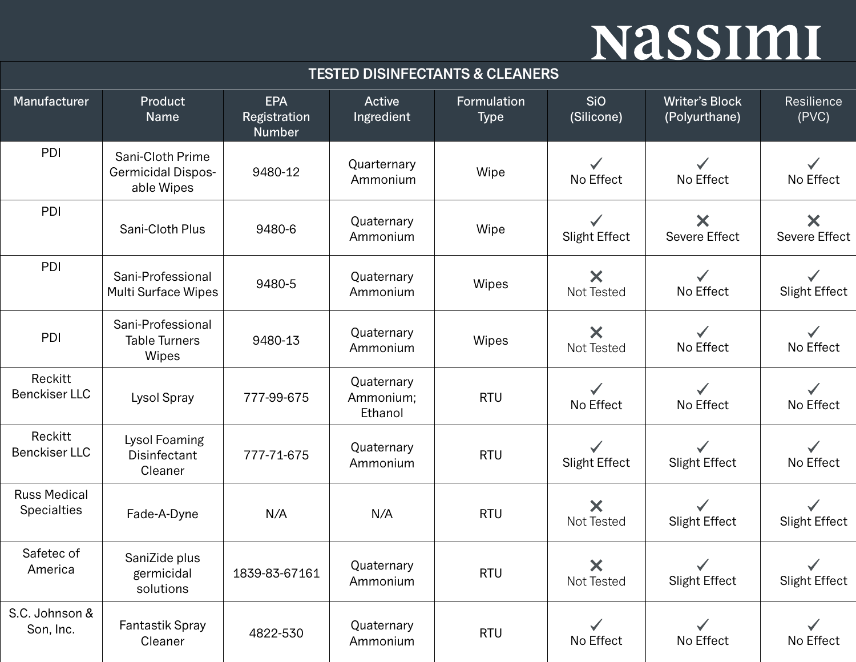| Manufacturer                              | Product<br>Name                                             | <b>EPA</b><br>Registration<br><b>Number</b> | <b>Active</b><br>Ingredient        | Formulation<br><b>Type</b> | <b>SiO</b><br>(Silicone)             | <b>Writer's Block</b><br>(Polyurthane) | Resilience<br>(PVC)       |
|-------------------------------------------|-------------------------------------------------------------|---------------------------------------------|------------------------------------|----------------------------|--------------------------------------|----------------------------------------|---------------------------|
| PDI                                       | Sani-Cloth Prime<br><b>Germicidal Dispos-</b><br>able Wipes | 9480-12                                     | Quarternary<br>Ammonium            | Wipe                       | No Effect                            | No Effect                              | No Effect                 |
| PDI                                       | Sani-Cloth Plus                                             | 9480-6                                      | Quaternary<br>Ammonium             | Wipe                       | $\checkmark$<br><b>Slight Effect</b> | X<br><b>Severe Effect</b>              | X<br><b>Severe Effect</b> |
| PDI                                       | Sani-Professional<br><b>Multi Surface Wipes</b>             | 9480-5                                      | Quaternary<br>Ammonium             | Wipes                      | X<br>Not Tested                      | No Effect                              | Slight Effect             |
| PDI                                       | Sani-Professional<br><b>Table Turners</b><br>Wipes          | 9480-13                                     | Quaternary<br>Ammonium             | Wipes                      | X<br>Not Tested                      | $\checkmark$<br>No Effect              | No Effect                 |
| Reckitt<br><b>Benckiser LLC</b>           | Lysol Spray                                                 | 777-99-675                                  | Quaternary<br>Ammonium;<br>Ethanol | <b>RTU</b>                 | $\checkmark$<br>No Effect            | $\checkmark$<br>No Effect              | $\checkmark$<br>No Effect |
| Reckitt<br><b>Benckiser LLC</b>           | Lysol Foaming<br>Disinfectant<br>Cleaner                    | 777-71-675                                  | Quaternary<br>Ammonium             | <b>RTU</b>                 | <b>Slight Effect</b>                 | $\checkmark$<br><b>Slight Effect</b>   | $\checkmark$<br>No Effect |
| <b>Russ Medical</b><br><b>Specialties</b> | Fade-A-Dyne                                                 | N/A                                         | N/A                                | <b>RTU</b>                 | ×<br><b>Not Tested</b>               | <b>Slight Effect</b>                   | Slight Effect             |
| Safetec of<br>America                     | SaniZide plus<br>germicidal<br>solutions                    | 1839-83-67161                               | Quaternary<br>Ammonium             | <b>RTU</b>                 | $\bm{\times}$<br>Not Tested          | <b>Slight Effect</b>                   | Slight Effect             |
| S.C. Johnson &<br>Son, Inc.               | Fantastik Spray<br>Cleaner                                  | 4822-530                                    | Quaternary<br>Ammonium             | <b>RTU</b>                 | No Effect                            | $\checkmark$<br>No Effect              | No Effect                 |